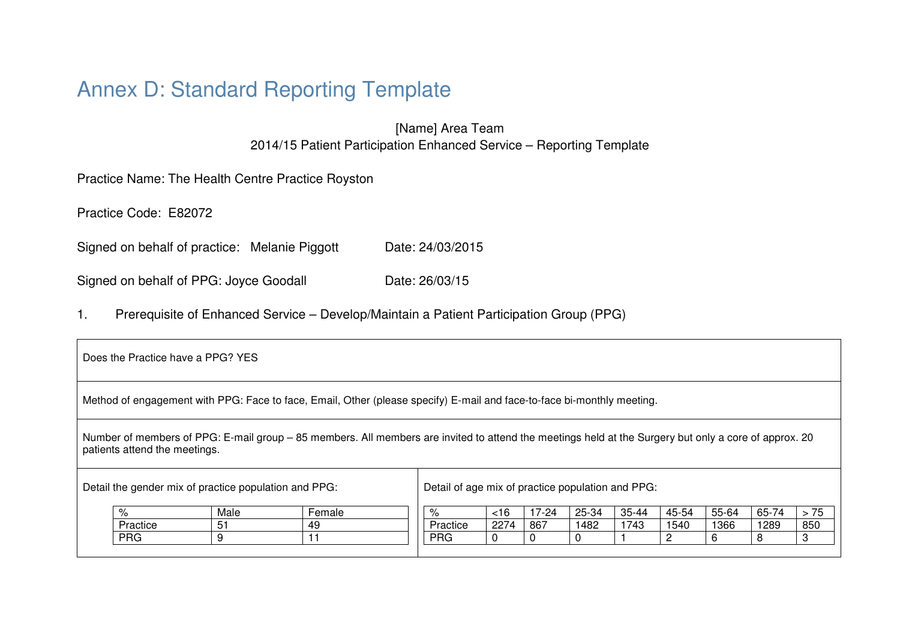# Annex D: Standard Reporting Template

[Name] Area Team 2014/15 Patient Participation Enhanced Service – Reporting Template

Practice Name: The Health Centre Practice Royston

Practice Code: E82072

Signed on behalf of practice: Melanie Piggott Date: 24/03/2015

Signed on behalf of PPG: Joyce Goodall Date: 26/03/15

1. Prerequisite of Enhanced Service – Develop/Maintain a Patient Participation Group (PPG)

| Does the Practice have a PPG? YES                                                                                                                                                      |            |      |        |                                                   |      |       |       |       |       |       |       |      |
|----------------------------------------------------------------------------------------------------------------------------------------------------------------------------------------|------------|------|--------|---------------------------------------------------|------|-------|-------|-------|-------|-------|-------|------|
| Method of engagement with PPG: Face to face, Email, Other (please specify) E-mail and face-to-face bi-monthly meeting.                                                                 |            |      |        |                                                   |      |       |       |       |       |       |       |      |
| Number of members of PPG: E-mail group – 85 members. All members are invited to attend the meetings held at the Surgery but only a core of approx. 20<br>patients attend the meetings. |            |      |        |                                                   |      |       |       |       |       |       |       |      |
| Detail the gender mix of practice population and PPG:                                                                                                                                  |            |      |        | Detail of age mix of practice population and PPG: |      |       |       |       |       |       |       |      |
|                                                                                                                                                                                        | $\%$       | Male | Female | $\%$                                              | <16  | 17-24 | 25-34 | 35-44 | 45-54 | 55-64 | 65-74 | > 75 |
|                                                                                                                                                                                        | Practice   | 51   | 49     | Practice                                          | 2274 | 867   | 1482  | 1743  | 1540  | 1366  | 1289  | 850  |
|                                                                                                                                                                                        | <b>PRG</b> | 9    | 11     | <b>PRG</b>                                        | 0    | 0     |       |       | 2     | 6     | 8     |      |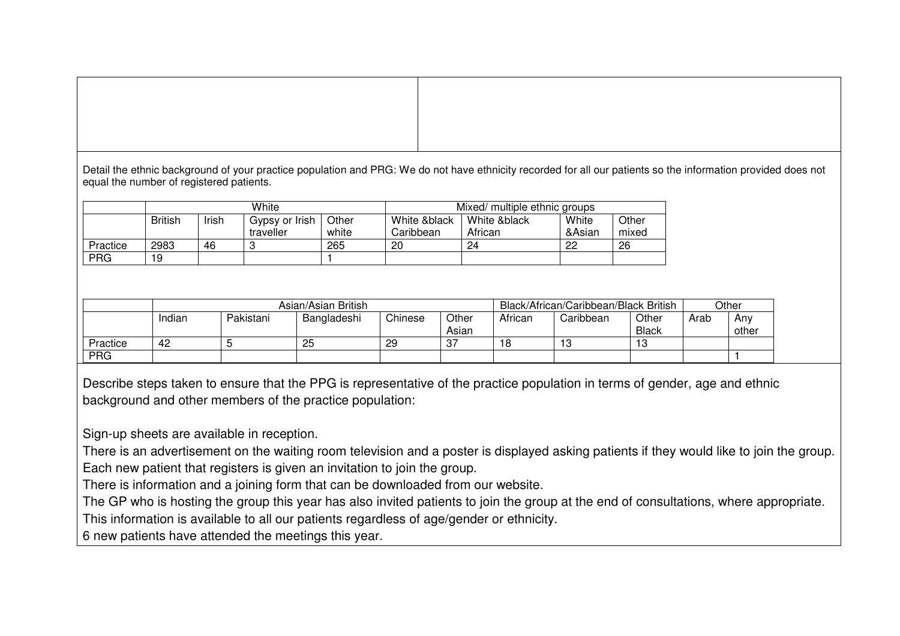Detail the ethnic background of your practice population and PRG: We do not have ethnicity recorded for all our patients so the information provided does not equal the number of registered patients.

|            | White          |       |                |       | Mixed/ multiple ethnic groups |              |        |       |  |  |
|------------|----------------|-------|----------------|-------|-------------------------------|--------------|--------|-------|--|--|
|            | <b>British</b> | Irish | Gypsy or Irish | Other | White &black                  | White &black | White  | Other |  |  |
|            |                |       | traveller      | white | Caribbean                     | African      | &Asian | mixed |  |  |
| Practice   | 2983           | 46    |                | 265   | 20                            | 24           | 22     | 26    |  |  |
| <b>PRG</b> | 19             |       |                |       |                               |              |        |       |  |  |

|          | Asian/Asian British |           |             |         |                |         | Black/African/Caribbean/Black British |                       |      |              |
|----------|---------------------|-----------|-------------|---------|----------------|---------|---------------------------------------|-----------------------|------|--------------|
|          | Indian              | Pakistani | Bangladeshi | Chinese | Other<br>Asian | African | Caribbean                             | Other<br><b>Black</b> | Arab | Anv<br>other |
| Practice | -42                 |           | 25          | 29      | $\sim$         | 18      | 13                                    | 10<br>ن ا             |      |              |
| PRG      |                     |           |             |         |                |         |                                       |                       |      |              |

Describe steps taken to ensure that the PPG is representative of the practice population in terms of gender, age and ethnic background and other members of the practice population:

Sign-up sheets are available in reception.

 There is an advertisement on the waiting room television and a poster is displayed asking patients if they would like to join the group.Each new patient that registers is given an invitation to join the group.

There is information and a joining form that can be downloaded from our website.

The GP who is hosting the group this year has also invited patients to join the group at the end of consultations, where appropriate. This information is available to all our patients regardless of age/gender or ethnicity.

6 new patients have attended the meetings this year.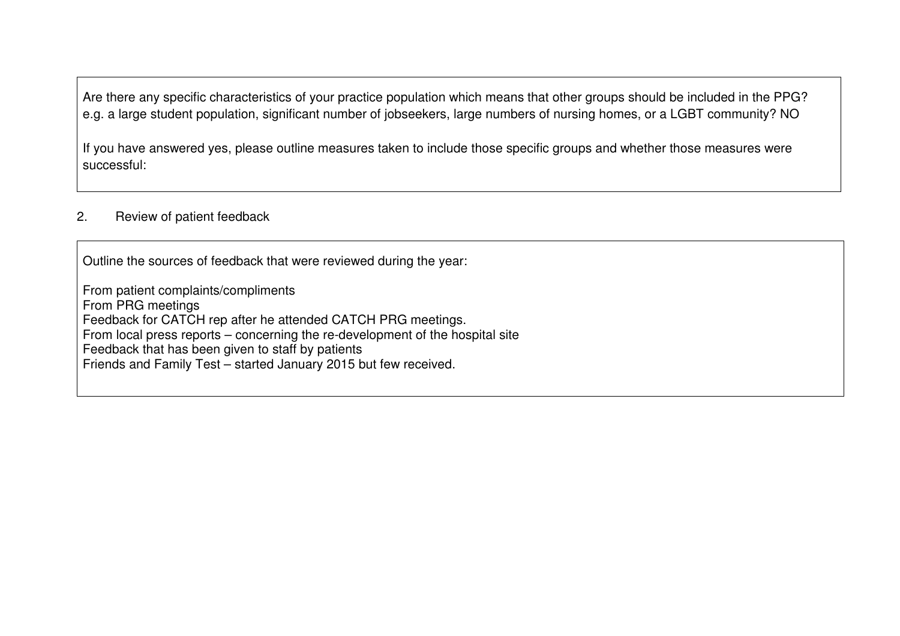Are there any specific characteristics of your practice population which means that other groups should be included in the PPG? e.g. a large student population, significant number of jobseekers, large numbers of nursing homes, or a LGBT community? NO

If you have answered yes, please outline measures taken to include those specific groups and whether those measures were successful:

## 2. Review of patient feedback

Outline the sources of feedback that were reviewed during the year:

From patient complaints/compliments From PRG meetings Feedback for CATCH rep after he attended CATCH PRG meetings. From local press reports – concerning the re-development of the hospital site Feedback that has been given to staff by patients Friends and Family Test – started January 2015 but few received.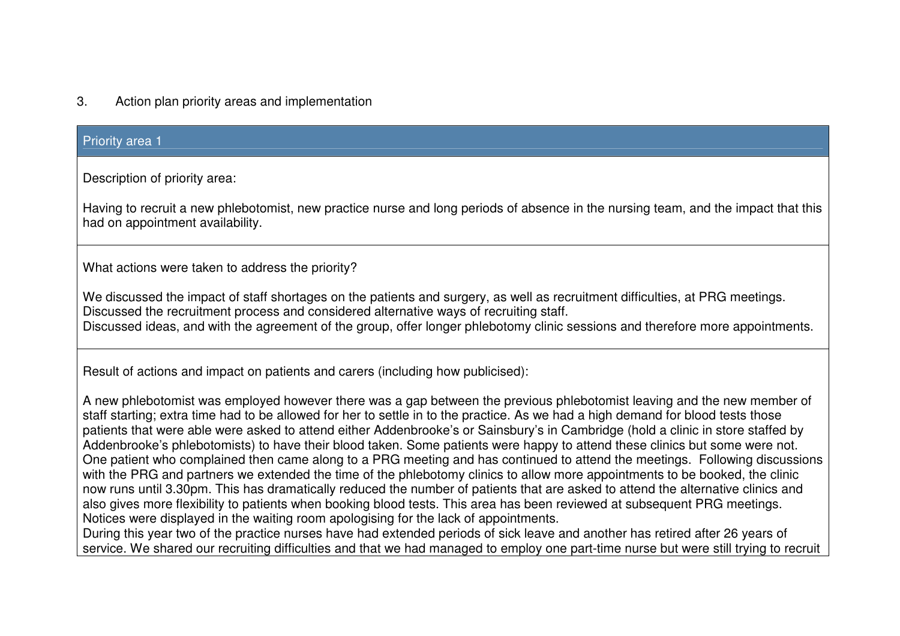# 3. Action plan priority areas and implementation

## Priority area 1

Description of priority area:

Having to recruit a new phlebotomist, new practice nurse and long periods of absence in the nursing team, and the impact that this had on appointment availability.

What actions were taken to address the priority?

We discussed the impact of staff shortages on the patients and surgery, as well as recruitment difficulties, at PRG meetings. Discussed the recruitment process and considered alternative ways of recruiting staff. Discussed ideas, and with the agreement of the group, offer longer phlebotomy clinic sessions and therefore more appointments.

Result of actions and impact on patients and carers (including how publicised):

A new phlebotomist was employed however there was a gap between the previous phlebotomist leaving and the new member of staff starting; extra time had to be allowed for her to settle in to the practice. As we had a high demand for blood tests those patients that were able were asked to attend either Addenbrooke's or Sainsbury's in Cambridge (hold a clinic in store staffed by Addenbrooke's phlebotomists) to have their blood taken. Some patients were happy to attend these clinics but some were not. One patient who complained then came along to a PRG meeting and has continued to attend the meetings. Following discussions with the PRG and partners we extended the time of the phlebotomy clinics to allow more appointments to be booked, the clinic now runs until 3.30pm. This has dramatically reduced the number of patients that are asked to attend the alternative clinics and also gives more flexibility to patients when booking blood tests. This area has been reviewed at subsequent PRG meetings. Notices were displayed in the waiting room apologising for the lack of appointments.

 During this year two of the practice nurses have had extended periods of sick leave and another has retired after 26 years of service. We shared our recruiting difficulties and that we had managed to employ one part-time nurse but were still trying to recruit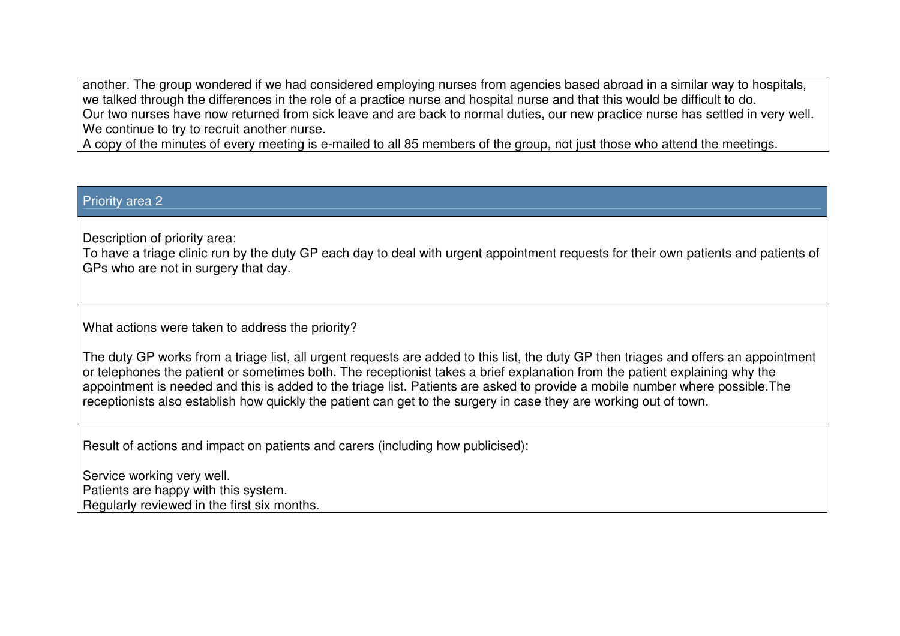another. The group wondered if we had considered employing nurses from agencies based abroad in a similar way to hospitals, we talked through the differences in the role of a practice nurse and hospital nurse and that this would be difficult to do. Our two nurses have now returned from sick leave and are back to normal duties, our new practice nurse has settled in very well. We continue to try to recruit another nurse.

A copy of the minutes of every meeting is e-mailed to all 85 members of the group, not just those who attend the meetings.

## Priority area 2

Description of priority area:

 To have a triage clinic run by the duty GP each day to deal with urgent appointment requests for their own patients and patients of GPs who are not in surgery that day.

What actions were taken to address the priority?

The duty GP works from a triage list, all urgent requests are added to this list, the duty GP then triages and offers an appointment or telephones the patient or sometimes both. The receptionist takes a brief explanation from the patient explaining why the appointment is needed and this is added to the triage list. Patients are asked to provide a mobile number where possible.The receptionists also establish how quickly the patient can get to the surgery in case they are working out of town.

Result of actions and impact on patients and carers (including how publicised):

Service working very well. Patients are happy with this system. Regularly reviewed in the first six months.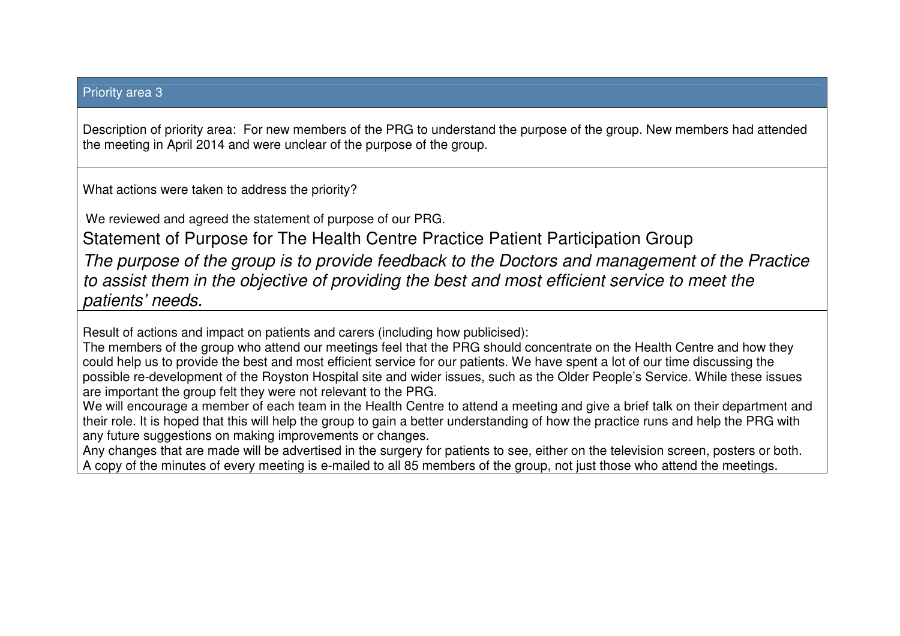## Priority area 3

Description of priority area: For new members of the PRG to understand the purpose of the group. New members had attended the meeting in April 2014 and were unclear of the purpose of the group.

What actions were taken to address the priority?

We reviewed and agreed the statement of purpose of our PRG.

Statement of Purpose for The Health Centre Practice Patient Participation Group

The purpose of the group is to provide feedback to the Doctors and management of the Practice to assist them in the objective of providing the best and most efficient service to meet the patients' needs.

Result of actions and impact on patients and carers (including how publicised):

 The members of the group who attend our meetings feel that the PRG should concentrate on the Health Centre and how they could help us to provide the best and most efficient service for our patients. We have spent a lot of our time discussing the possible re-development of the Royston Hospital site and wider issues, such as the Older People's Service. While these issues are important the group felt they were not relevant to the PRG.

 We will encourage a member of each team in the Health Centre to attend a meeting and give a brief talk on their department and their role. It is hoped that this will help the group to gain a better understanding of how the practice runs and help the PRG with any future suggestions on making improvements or changes.

 Any changes that are made will be advertised in the surgery for patients to see, either on the television screen, posters or both. A copy of the minutes of every meeting is e-mailed to all 85 members of the group, not just those who attend the meetings.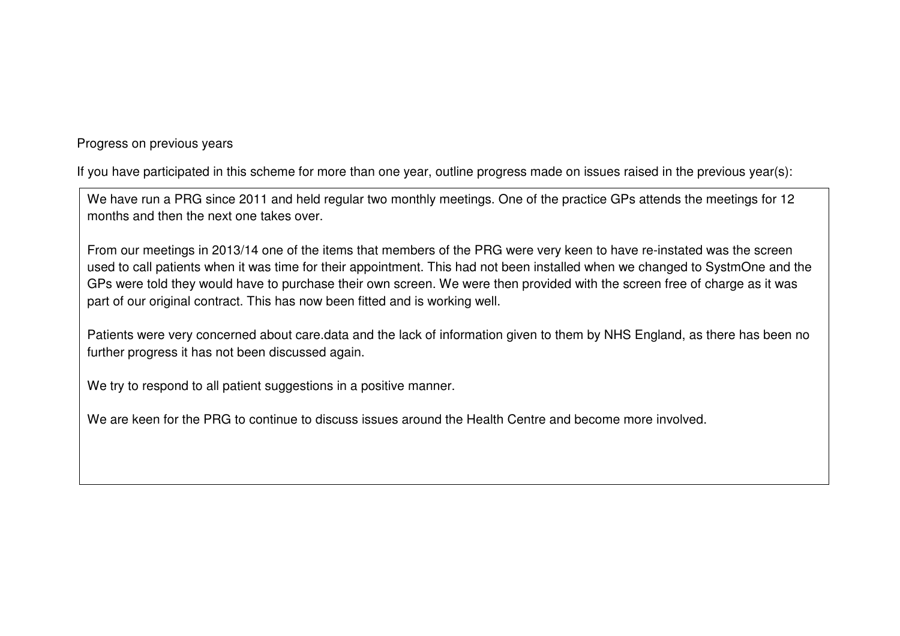Progress on previous years

If you have participated in this scheme for more than one year, outline progress made on issues raised in the previous year(s):

We have run a PRG since 2011 and held regular two monthly meetings. One of the practice GPs attends the meetings for 12 months and then the next one takes over.

From our meetings in 2013/14 one of the items that members of the PRG were very keen to have re-instated was the screen used to call patients when it was time for their appointment. This had not been installed when we changed to SystmOne and the GPs were told they would have to purchase their own screen. We were then provided with the screen free of charge as it was part of our original contract. This has now been fitted and is working well.

Patients were very concerned about care.data and the lack of information given to them by NHS England, as there has been no further progress it has not been discussed again.

We try to respond to all patient suggestions in a positive manner.

We are keen for the PRG to continue to discuss issues around the Health Centre and become more involved.